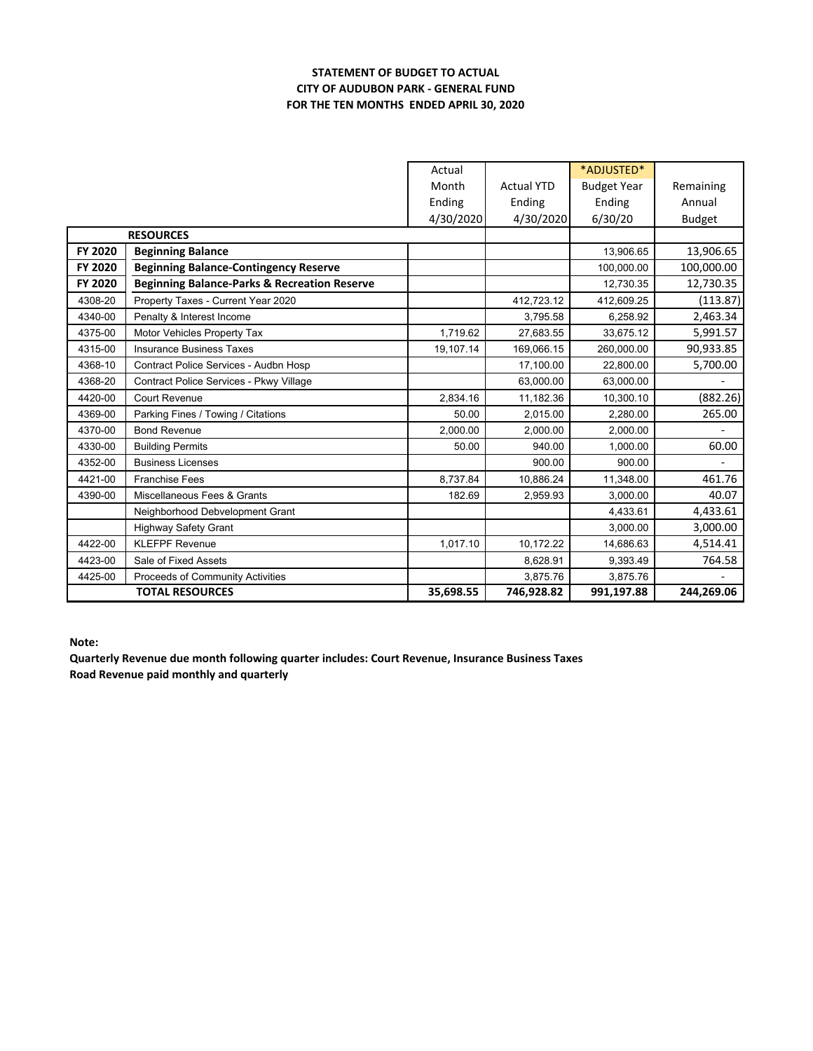## **STATEMENT OF BUDGET TO ACTUAL CITY OF AUDUBON PARK ‐ GENERAL FUND FOR THE TEN MONTHS ENDED APRIL 30, 2020**

|                  |                                                         | Actual    |                   | *ADJUSTED*         |               |
|------------------|---------------------------------------------------------|-----------|-------------------|--------------------|---------------|
|                  |                                                         | Month     | <b>Actual YTD</b> | <b>Budget Year</b> | Remaining     |
|                  |                                                         | Ending    | Ending            | Ending             | Annual        |
|                  |                                                         | 4/30/2020 | 4/30/2020         | 6/30/20            | <b>Budget</b> |
| <b>RESOURCES</b> |                                                         |           |                   |                    |               |
| FY 2020          | <b>Beginning Balance</b>                                |           |                   | 13,906.65          | 13,906.65     |
| FY 2020          | <b>Beginning Balance-Contingency Reserve</b>            |           |                   | 100,000.00         | 100,000.00    |
| FY 2020          | <b>Beginning Balance-Parks &amp; Recreation Reserve</b> |           |                   | 12,730.35          | 12,730.35     |
| 4308-20          | Property Taxes - Current Year 2020                      |           | 412,723.12        | 412,609.25         | (113.87)      |
| 4340-00          | Penalty & Interest Income                               |           | 3.795.58          | 6,258.92           | 2,463.34      |
| 4375-00          | Motor Vehicles Property Tax                             | 1,719.62  | 27,683.55         | 33,675.12          | 5,991.57      |
| 4315-00          | <b>Insurance Business Taxes</b>                         | 19,107.14 | 169,066.15        | 260,000.00         | 90,933.85     |
| 4368-10          | Contract Police Services - Audbn Hosp                   |           | 17,100.00         | 22,800.00          | 5,700.00      |
| 4368-20          | Contract Police Services - Pkwy Village                 |           | 63.000.00         | 63.000.00          |               |
| 4420-00          | Court Revenue                                           | 2,834.16  | 11,182.36         | 10,300.10          | (882.26)      |
| 4369-00          | Parking Fines / Towing / Citations                      | 50.00     | 2.015.00          | 2,280.00           | 265.00        |
| 4370-00          | <b>Bond Revenue</b>                                     | 2.000.00  | 2.000.00          | 2.000.00           |               |
| 4330-00          | <b>Building Permits</b>                                 | 50.00     | 940.00            | 1.000.00           | 60.00         |
| 4352-00          | <b>Business Licenses</b>                                |           | 900.00            | 900.00             |               |
| 4421-00          | <b>Franchise Fees</b>                                   | 8.737.84  | 10,886.24         | 11,348.00          | 461.76        |
| 4390-00          | Miscellaneous Fees & Grants                             | 182.69    | 2,959.93          | 3,000.00           | 40.07         |
|                  | Neighborhood Debvelopment Grant                         |           |                   | 4,433.61           | 4,433.61      |
|                  | <b>Highway Safety Grant</b>                             |           |                   | 3,000.00           | 3,000.00      |
| 4422-00          | <b>KLEFPF Revenue</b>                                   | 1,017.10  | 10,172.22         | 14,686.63          | 4,514.41      |
| 4423-00          | Sale of Fixed Assets                                    |           | 8,628.91          | 9,393.49           | 764.58        |
| 4425-00          | Proceeds of Community Activities                        |           | 3,875.76          | 3,875.76           |               |
|                  | <b>TOTAL RESOURCES</b>                                  | 35,698.55 | 746,928.82        | 991,197.88         | 244,269.06    |

**Note:**

**Quarterly Revenue due month following quarter includes: Court Revenue, Insurance Business Taxes Road Revenue paid monthly and quarterly**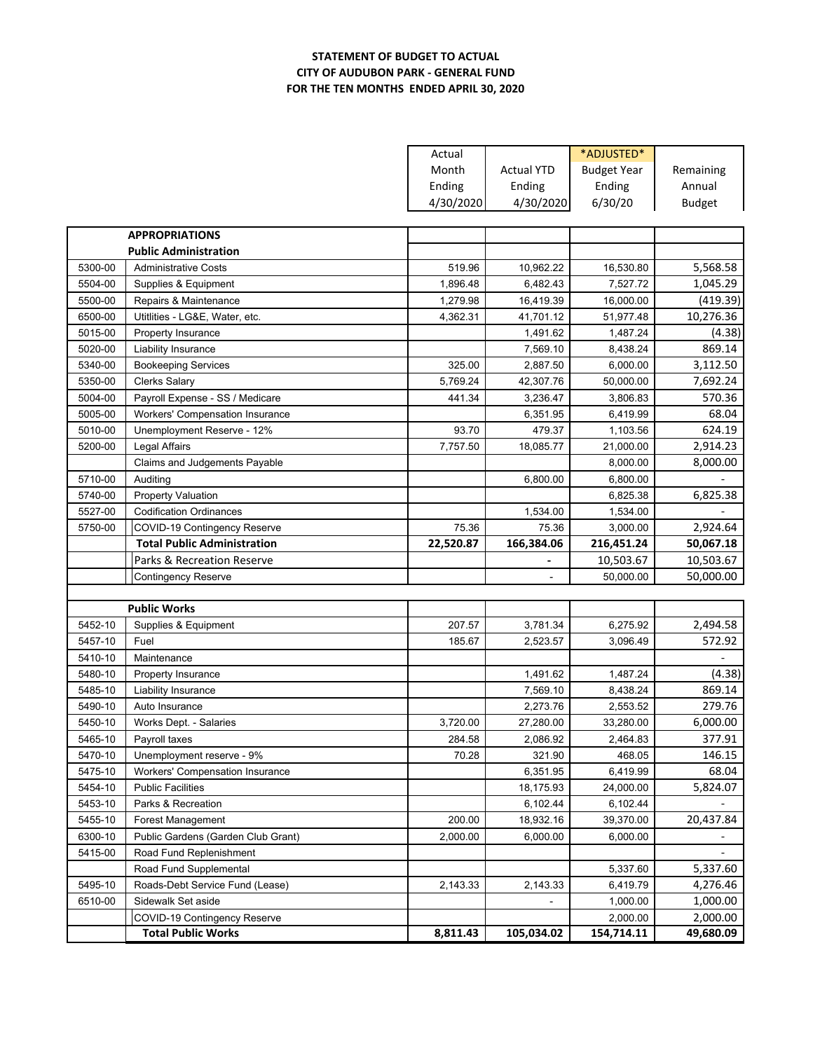## **STATEMENT OF BUDGET TO ACTUAL CITY OF AUDUBON PARK ‐ GENERAL FUND FOR THE TEN MONTHS ENDED APRIL 30, 2020**

|         |                                        | Actual    |                   | *ADJUSTED*         |               |
|---------|----------------------------------------|-----------|-------------------|--------------------|---------------|
|         |                                        | Month     | <b>Actual YTD</b> | <b>Budget Year</b> | Remaining     |
|         |                                        | Ending    | Ending            | Ending             | Annual        |
|         |                                        | 4/30/2020 | 4/30/2020         | 6/30/20            | <b>Budget</b> |
|         |                                        |           |                   |                    |               |
|         | <b>APPROPRIATIONS</b>                  |           |                   |                    |               |
|         | <b>Public Administration</b>           |           |                   |                    |               |
| 5300-00 | <b>Administrative Costs</b>            | 519.96    | 10,962.22         | 16,530.80          | 5,568.58      |
| 5504-00 | Supplies & Equipment                   | 1,896.48  | 6,482.43          | 7,527.72           | 1,045.29      |
| 5500-00 | Repairs & Maintenance                  | 1,279.98  | 16,419.39         | 16,000.00          | (419.39)      |
| 6500-00 | Utitlities - LG&E, Water, etc.         | 4,362.31  | 41,701.12         | 51,977.48          | 10,276.36     |
| 5015-00 | Property Insurance                     |           | 1,491.62          | 1,487.24           | (4.38)        |
| 5020-00 | Liability Insurance                    |           | 7,569.10          | 8,438.24           | 869.14        |
| 5340-00 | <b>Bookeeping Services</b>             | 325.00    | 2,887.50          | 6,000.00           | 3,112.50      |
| 5350-00 | <b>Clerks Salary</b>                   | 5,769.24  | 42,307.76         | 50,000.00          | 7,692.24      |
| 5004-00 | Payroll Expense - SS / Medicare        | 441.34    | 3,236.47          | 3,806.83           | 570.36        |
| 5005-00 | Workers' Compensation Insurance        |           | 6,351.95          | 6,419.99           | 68.04         |
| 5010-00 | Unemployment Reserve - 12%             | 93.70     | 479.37            | 1,103.56           | 624.19        |
| 5200-00 | Legal Affairs                          | 7,757.50  | 18,085.77         | 21,000.00          | 2,914.23      |
|         | Claims and Judgements Payable          |           |                   | 8,000.00           | 8,000.00      |
| 5710-00 | Auditing                               |           | 6,800.00          | 6,800.00           |               |
| 5740-00 | <b>Property Valuation</b>              |           |                   | 6,825.38           | 6,825.38      |
| 5527-00 | <b>Codification Ordinances</b>         |           | 1,534.00          | 1,534.00           |               |
| 5750-00 | COVID-19 Contingency Reserve           | 75.36     | 75.36             | 3,000.00           | 2,924.64      |
|         |                                        |           |                   |                    |               |
|         | <b>Total Public Administration</b>     | 22,520.87 | 166,384.06        | 216,451.24         | 50,067.18     |
|         | Parks & Recreation Reserve             |           |                   | 10,503.67          | 10,503.67     |
|         | <b>Contingency Reserve</b>             |           |                   | 50,000.00          | 50,000.00     |
|         |                                        |           |                   |                    |               |
|         | <b>Public Works</b>                    |           |                   |                    |               |
| 5452-10 | Supplies & Equipment                   | 207.57    | 3,781.34          | 6,275.92           | 2,494.58      |
| 5457-10 | Fuel                                   | 185.67    | 2,523.57          | 3,096.49           | 572.92        |
| 5410-10 | Maintenance                            |           |                   |                    |               |
| 5480-10 | <b>Property Insurance</b>              |           | 1,491.62          | 1,487.24           | (4.38)        |
| 5485-10 | Liability Insurance                    |           | 7,569.10          | 8,438.24           | 869.14        |
| 5490-10 | Auto Insurance                         |           | 2,273.76          | 2,553.52           | 279.76        |
| 5450-10 | Works Dept. - Salaries                 | 3,720.00  | 27,280.00         | 33,280.00          | 6,000.00      |
| 5465-10 | Payroll taxes                          | 284.58    | 2,086.92          | 2,464.83           | 377.91        |
| 5470-10 | Unemployment reserve - 9%              | 70.28     | 321.90            | 468.05             | 146.15        |
| 5475-10 | <b>Workers' Compensation Insurance</b> |           | 6,351.95          | 6,419.99           | 68.04         |
| 5454-10 | <b>Public Facilities</b>               |           | 18,175.93         | 24,000.00          | 5,824.07      |
| 5453-10 | Parks & Recreation                     |           | 6,102.44          | 6,102.44           |               |
| 5455-10 | Forest Management                      | 200.00    | 18,932.16         | 39,370.00          | 20,437.84     |
| 6300-10 | Public Gardens (Garden Club Grant)     | 2,000.00  | 6,000.00          | 6,000.00           |               |
| 5415-00 | Road Fund Replenishment                |           |                   |                    |               |
|         | Road Fund Supplemental                 |           |                   | 5,337.60           | 5,337.60      |
| 5495-10 | Roads-Debt Service Fund (Lease)        | 2,143.33  | 2,143.33          | 6,419.79           | 4,276.46      |
| 6510-00 | Sidewalk Set aside                     |           |                   | 1,000.00           | 1,000.00      |
|         | COVID-19 Contingency Reserve           |           |                   | 2,000.00           | 2,000.00      |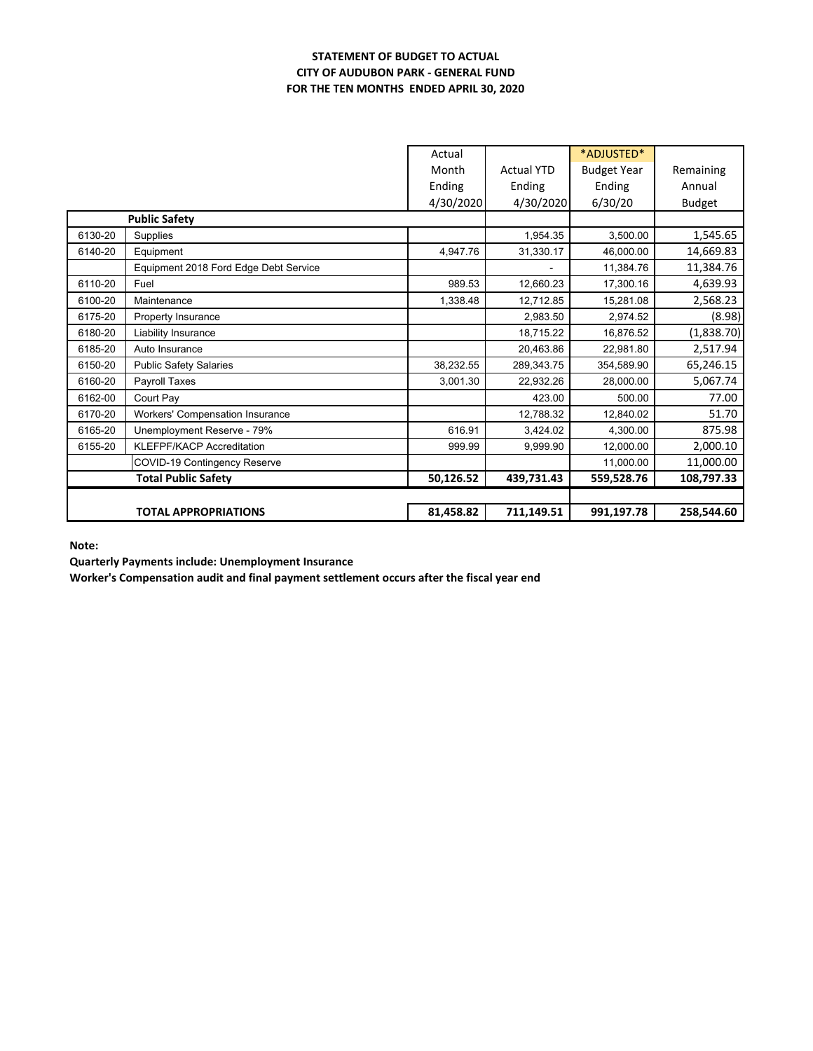#### **STATEMENT OF BUDGET TO ACTUAL CITY OF AUDUBON PARK ‐ GENERAL FUND FOR THE TEN MONTHS ENDED APRIL 30, 2020**

|                      |                                        | Actual    |                   | *ADJUSTED*         |               |
|----------------------|----------------------------------------|-----------|-------------------|--------------------|---------------|
|                      |                                        | Month     | <b>Actual YTD</b> | <b>Budget Year</b> | Remaining     |
|                      |                                        | Ending    | Ending            | Ending             | Annual        |
|                      |                                        | 4/30/2020 | 4/30/2020         | 6/30/20            | <b>Budget</b> |
| <b>Public Safety</b> |                                        |           |                   |                    |               |
| 6130-20              | Supplies                               |           | 1,954.35          | 3,500.00           | 1,545.65      |
| 6140-20              | Equipment                              | 4,947.76  | 31,330.17         | 46,000.00          | 14,669.83     |
|                      | Equipment 2018 Ford Edge Debt Service  |           |                   | 11,384.76          | 11,384.76     |
| 6110-20              | Fuel                                   | 989.53    | 12,660.23         | 17,300.16          | 4,639.93      |
| 6100-20              | Maintenance                            | 1,338.48  | 12,712.85         | 15,281.08          | 2,568.23      |
| 6175-20              | Property Insurance                     |           | 2,983.50          | 2,974.52           | (8.98)        |
| 6180-20              | Liability Insurance                    |           | 18,715.22         | 16,876.52          | (1,838.70)    |
| 6185-20              | Auto Insurance                         |           | 20.463.86         | 22,981.80          | 2,517.94      |
| 6150-20              | <b>Public Safety Salaries</b>          | 38,232.55 | 289,343.75        | 354,589.90         | 65,246.15     |
| 6160-20              | Payroll Taxes                          | 3,001.30  | 22,932.26         | 28,000.00          | 5,067.74      |
| 6162-00              | Court Pay                              |           | 423.00            | 500.00             | 77.00         |
| 6170-20              | <b>Workers' Compensation Insurance</b> |           | 12,788.32         | 12,840.02          | 51.70         |
| 6165-20              | Unemployment Reserve - 79%             | 616.91    | 3,424.02          | 4,300.00           | 875.98        |
| 6155-20              | <b>KLEFPF/KACP Accreditation</b>       | 999.99    | 9,999.90          | 12,000.00          | 2,000.10      |
|                      | COVID-19 Contingency Reserve           |           |                   | 11,000.00          | 11,000.00     |
|                      | <b>Total Public Safety</b>             | 50,126.52 | 439,731.43        | 559,528.76         | 108,797.33    |
|                      |                                        |           |                   |                    |               |
|                      | <b>TOTAL APPROPRIATIONS</b>            | 81,458.82 | 711,149.51        | 991,197.78         | 258,544.60    |

**Note:**

**Quarterly Payments include: Unemployment Insurance**

**Worker's Compensation audit and final payment settlement occurs after the fiscal year end**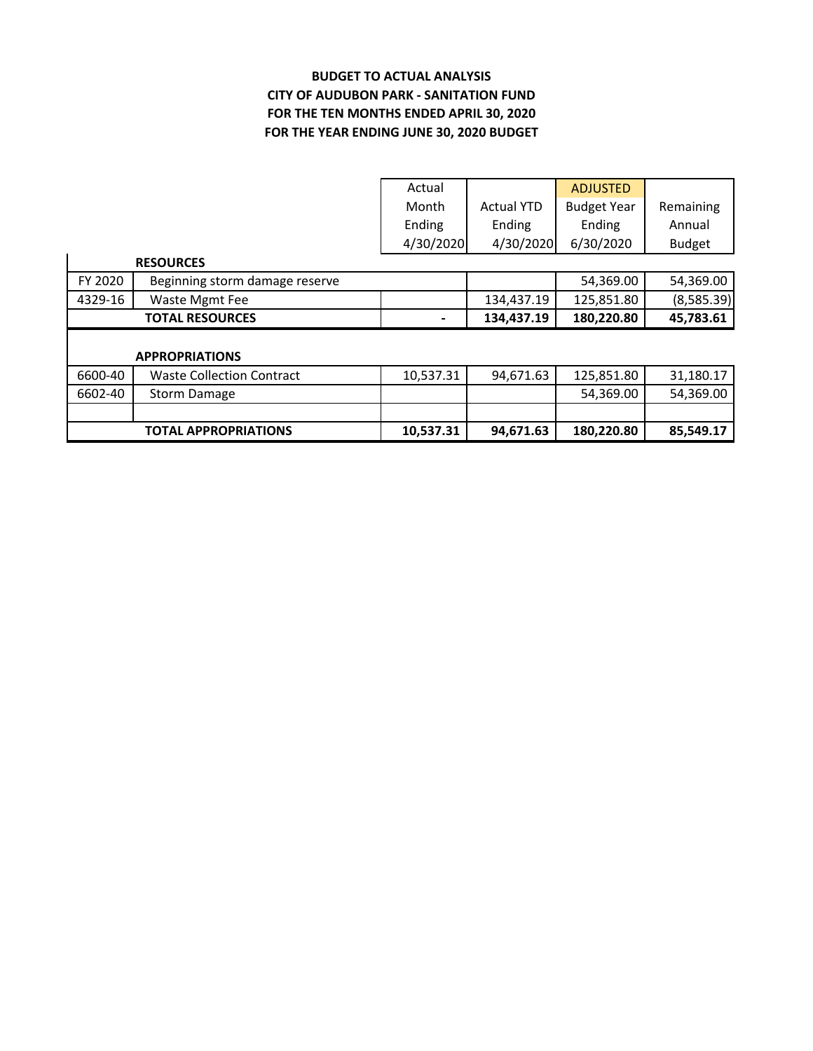# **BUDGET TO ACTUAL ANALYSIS CITY OF AUDUBON PARK ‐ SANITATION FUND FOR THE YEAR ENDING JUNE 30, 2020 BUDGET FOR THE TEN MONTHS ENDED APRIL 30, 2020**

|         |                                  | Actual    |                   | <b>ADJUSTED</b>    |               |
|---------|----------------------------------|-----------|-------------------|--------------------|---------------|
|         |                                  | Month     | <b>Actual YTD</b> | <b>Budget Year</b> | Remaining     |
|         |                                  | Ending    | Ending            | Ending             | Annual        |
|         |                                  | 4/30/2020 | 4/30/2020         | 6/30/2020          | <b>Budget</b> |
|         | <b>RESOURCES</b>                 |           |                   |                    |               |
| FY 2020 | Beginning storm damage reserve   |           |                   | 54,369.00          | 54,369.00     |
| 4329-16 | Waste Mgmt Fee                   |           | 134,437.19        | 125,851.80         | (8,585.39)    |
|         | <b>TOTAL RESOURCES</b>           |           | 134,437.19        | 180,220.80         | 45,783.61     |
|         |                                  |           |                   |                    |               |
|         | <b>APPROPRIATIONS</b>            |           |                   |                    |               |
| 6600-40 | <b>Waste Collection Contract</b> | 10,537.31 | 94,671.63         | 125,851.80         | 31,180.17     |
| 6602-40 | <b>Storm Damage</b>              |           |                   | 54,369.00          | 54,369.00     |
|         |                                  |           |                   |                    |               |
|         | <b>TOTAL APPROPRIATIONS</b>      | 10,537.31 | 94,671.63         | 180,220.80         | 85,549.17     |